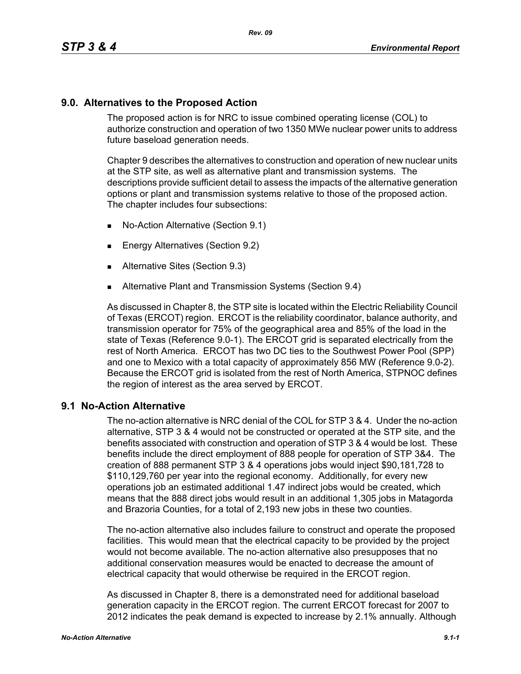## **9.0. Alternatives to the Proposed Action**

The proposed action is for NRC to issue combined operating license (COL) to authorize construction and operation of two 1350 MWe nuclear power units to address future baseload generation needs.

Chapter 9 describes the alternatives to construction and operation of new nuclear units at the STP site, as well as alternative plant and transmission systems. The descriptions provide sufficient detail to assess the impacts of the alternative generation options or plant and transmission systems relative to those of the proposed action. The chapter includes four subsections:

- No-Action Alternative (Section 9.1)
- **Energy Alternatives (Section 9.2)**
- **Alternative Sites (Section 9.3)**
- **Alternative Plant and Transmission Systems (Section 9.4)**

As discussed in Chapter 8, the STP site is located within the Electric Reliability Council of Texas (ERCOT) region. ERCOT is the reliability coordinator, balance authority, and transmission operator for 75% of the geographical area and 85% of the load in the state of Texas (Reference 9.0-1). The ERCOT grid is separated electrically from the rest of North America. ERCOT has two DC ties to the Southwest Power Pool (SPP) and one to Mexico with a total capacity of approximately 856 MW (Reference 9.0-2). Because the ERCOT grid is isolated from the rest of North America, STPNOC defines the region of interest as the area served by ERCOT.

## **9.1 No-Action Alternative**

The no-action alternative is NRC denial of the COL for STP 3 & 4. Under the no-action alternative, STP 3 & 4 would not be constructed or operated at the STP site, and the benefits associated with construction and operation of STP 3 & 4 would be lost. These benefits include the direct employment of 888 people for operation of STP 3&4. The creation of 888 permanent STP 3 & 4 operations jobs would inject \$90,181,728 to \$110,129,760 per year into the regional economy. Additionally, for every new operations job an estimated additional 1.47 indirect jobs would be created, which means that the 888 direct jobs would result in an additional 1,305 jobs in Matagorda and Brazoria Counties, for a total of 2,193 new jobs in these two counties.

The no-action alternative also includes failure to construct and operate the proposed facilities. This would mean that the electrical capacity to be provided by the project would not become available. The no-action alternative also presupposes that no additional conservation measures would be enacted to decrease the amount of electrical capacity that would otherwise be required in the ERCOT region.

As discussed in Chapter 8, there is a demonstrated need for additional baseload generation capacity in the ERCOT region. The current ERCOT forecast for 2007 to 2012 indicates the peak demand is expected to increase by 2.1% annually. Although